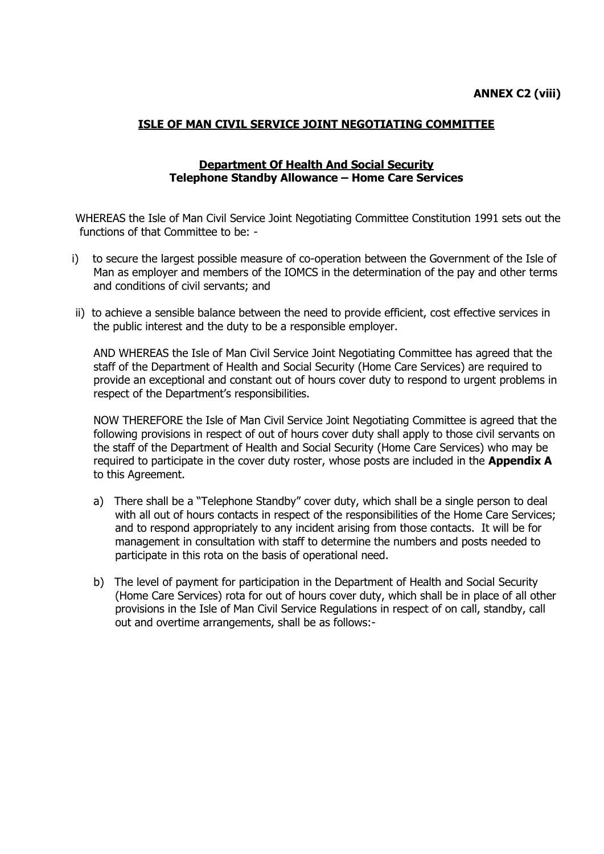## **ISLE OF MAN CIVIL SERVICE JOINT NEGOTIATING COMMITTEE**

### **Department Of Health And Social Security Telephone Standby Allowance – Home Care Services**

WHEREAS the Isle of Man Civil Service Joint Negotiating Committee Constitution 1991 sets out the functions of that Committee to be: -

- i) to secure the largest possible measure of co-operation between the Government of the Isle of Man as employer and members of the IOMCS in the determination of the pay and other terms and conditions of civil servants; and
- ii) to achieve a sensible balance between the need to provide efficient, cost effective services in the public interest and the duty to be a responsible employer.

AND WHEREAS the Isle of Man Civil Service Joint Negotiating Committee has agreed that the staff of the Department of Health and Social Security (Home Care Services) are required to provide an exceptional and constant out of hours cover duty to respond to urgent problems in respect of the Department's responsibilities.

NOW THEREFORE the Isle of Man Civil Service Joint Negotiating Committee is agreed that the following provisions in respect of out of hours cover duty shall apply to those civil servants on the staff of the Department of Health and Social Security (Home Care Services) who may be required to participate in the cover duty roster, whose posts are included in the **Appendix A** to this Agreement.

- a) There shall be a "Telephone Standby" cover duty, which shall be a single person to deal with all out of hours contacts in respect of the responsibilities of the Home Care Services; and to respond appropriately to any incident arising from those contacts. It will be for management in consultation with staff to determine the numbers and posts needed to participate in this rota on the basis of operational need.
- b) The level of payment for participation in the Department of Health and Social Security (Home Care Services) rota for out of hours cover duty, which shall be in place of all other provisions in the Isle of Man Civil Service Regulations in respect of on call, standby, call out and overtime arrangements, shall be as follows:-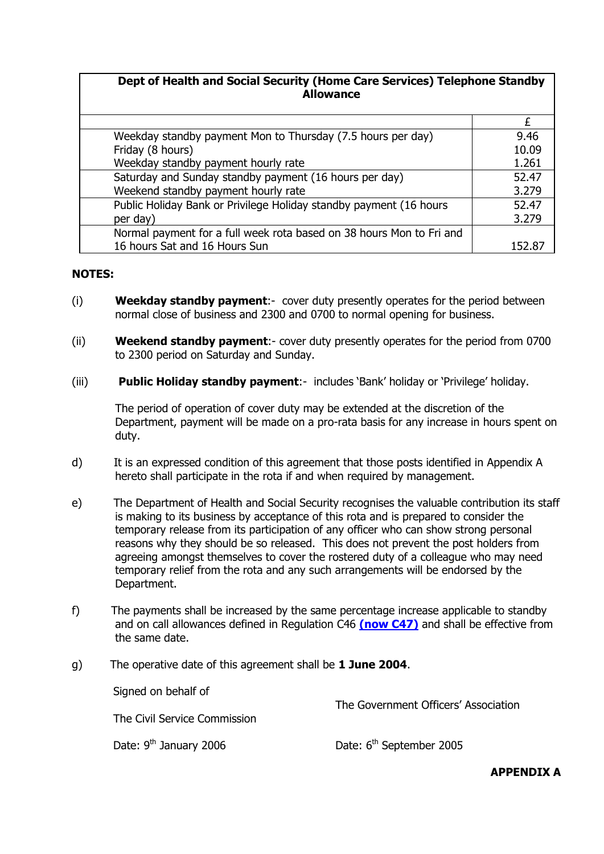### **Dept of Health and Social Security (Home Care Services) Telephone Standby Allowance**

| Weekday standby payment Mon to Thursday (7.5 hours per day)          | 9.46  |
|----------------------------------------------------------------------|-------|
| Friday (8 hours)                                                     | 10.09 |
| Weekday standby payment hourly rate                                  | 1.261 |
| Saturday and Sunday standby payment (16 hours per day)               | 52.47 |
| Weekend standby payment hourly rate                                  | 3.279 |
| Public Holiday Bank or Privilege Holiday standby payment (16 hours   | 52.47 |
| per day)                                                             | 3.279 |
| Normal payment for a full week rota based on 38 hours Mon to Fri and |       |
| 16 hours Sat and 16 Hours Sun                                        |       |

#### **NOTES:**

- (i) **Weekday standby payment**:- cover duty presently operates for the period between normal close of business and 2300 and 0700 to normal opening for business.
- (ii) **Weekend standby payment**:- cover duty presently operates for the period from 0700 to 2300 period on Saturday and Sunday.
- (iii) **Public Holiday standby payment**:- includes "Bank" holiday or "Privilege" holiday.

The period of operation of cover duty may be extended at the discretion of the Department, payment will be made on a pro-rata basis for any increase in hours spent on duty.

- d) It is an expressed condition of this agreement that those posts identified in Appendix A hereto shall participate in the rota if and when required by management.
- e) The Department of Health and Social Security recognises the valuable contribution its staff is making to its business by acceptance of this rota and is prepared to consider the temporary release from its participation of any officer who can show strong personal reasons why they should be so released. This does not prevent the post holders from agreeing amongst themselves to cover the rostered duty of a colleague who may need temporary relief from the rota and any such arrangements will be endorsed by the Department.
- f) The payments shall be increased by the same percentage increase applicable to standby and on call allowances defined in Regulation C46 **[\(now C47\)](http://www.gov.im/personnel/iomcs/cs_regs/section_C/overtime.xml#c47)** and shall be effective from the same date.
- g) The operative date of this agreement shall be **1 June 2004**.

Signed on behalf of

| Signed on behalf of<br>The Civil Service Commission | The Government Officers' Association |
|-----------------------------------------------------|--------------------------------------|
| Date: 9 <sup>th</sup> January 2006                  | Date: 6 <sup>th</sup> September 2005 |

**APPENDIX A**